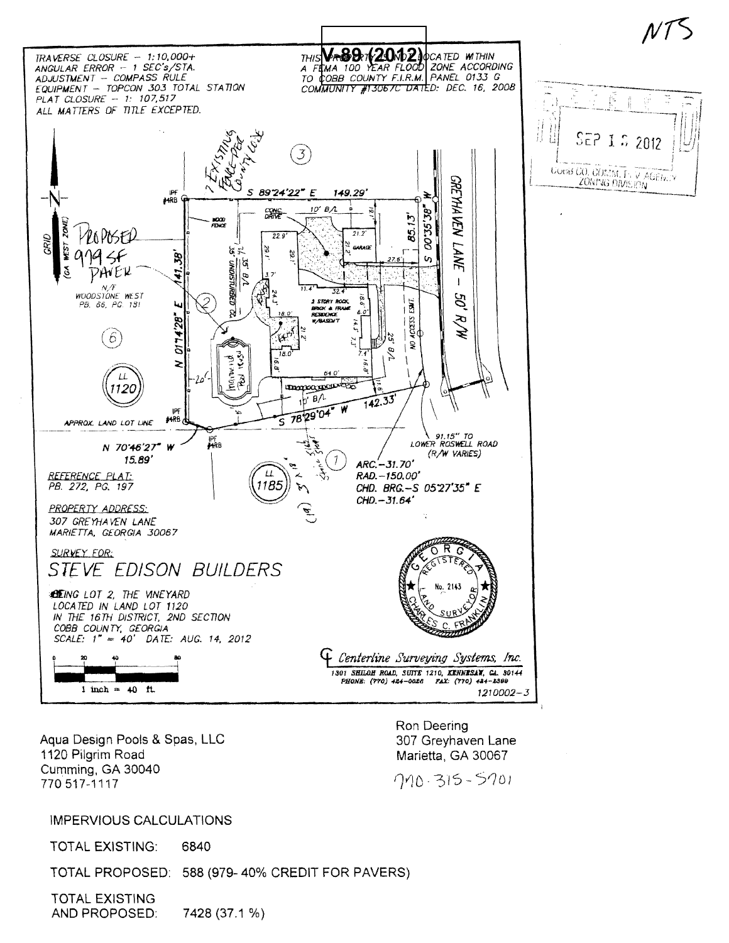

Aqua Design Pools & Spas, LLC 1120 Pilgrim Road Cumming, GA 30040 770 517-1117

Ron Deering 307 Greyhaven Lane Marietta, GA 30067

710-315-5701

## **IMPERVIOUS CALCULATIONS**

**TOTAL EXISTING:** 6840

TOTAL PROPOSED: 588 (979-40% CREDIT FOR PAVERS)

**TOTAL EXISTING** AND PROPOSED: 7428 (37.1 %)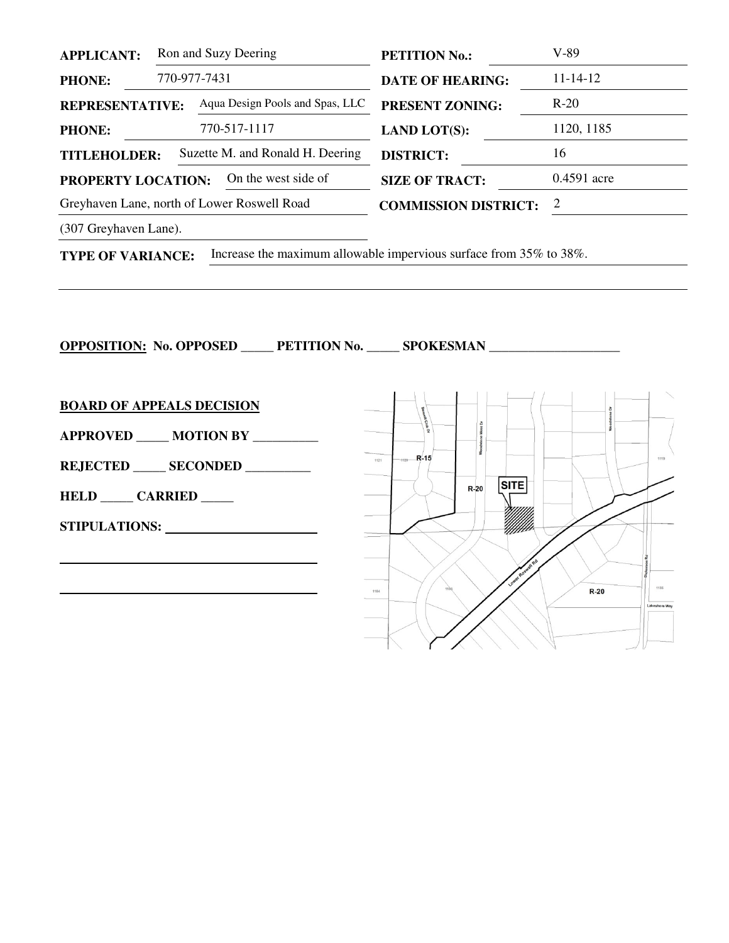| <b>APPLICANT:</b>                                       |              | Ron and Suzy Deering            | <b>PETITION No.:</b>        | V-89           |
|---------------------------------------------------------|--------------|---------------------------------|-----------------------------|----------------|
| <b>PHONE:</b>                                           | 770-977-7431 |                                 | <b>DATE OF HEARING:</b>     | $11 - 14 - 12$ |
| <b>REPRESENTATIVE:</b>                                  |              | Aqua Design Pools and Spas, LLC | <b>PRESENT ZONING:</b>      | $R-20$         |
| <b>PHONE:</b>                                           |              | 770-517-1117                    | <b>LAND LOT(S):</b>         | 1120, 1185     |
| Suzette M. and Ronald H. Deering<br><b>TITLEHOLDER:</b> |              |                                 | <b>DISTRICT:</b>            | 16             |
| PROPERTY LOCATION:                                      |              | On the west side of             | <b>SIZE OF TRACT:</b>       | $0.4591$ acre  |
| Greyhaven Lane, north of Lower Roswell Road             |              |                                 | <b>COMMISSION DISTRICT:</b> | 2              |
|                                                         |              |                                 |                             |                |

(307 Greyhaven Lane).

**TYPE OF VARIANCE:** Increase the maximum allowable impervious surface from 35% to 38%.

**OPPOSITION:** No. OPPOSED \_\_\_\_\_ PETITION No. \_\_\_\_\_ SPOKESMAN \_\_\_\_\_\_\_\_\_\_\_\_\_\_\_\_\_\_\_\_

**BOARD OF APPEALS DECISION**

**APPROVED \_\_\_\_\_ MOTION BY \_\_\_\_\_\_\_\_\_\_** 

**REJECTED \_\_\_\_\_ SECONDED \_\_\_\_\_\_\_\_\_\_** 

**HELD \_\_\_\_\_ CARRIED \_\_\_\_\_** 

**STIPULATIONS:** 

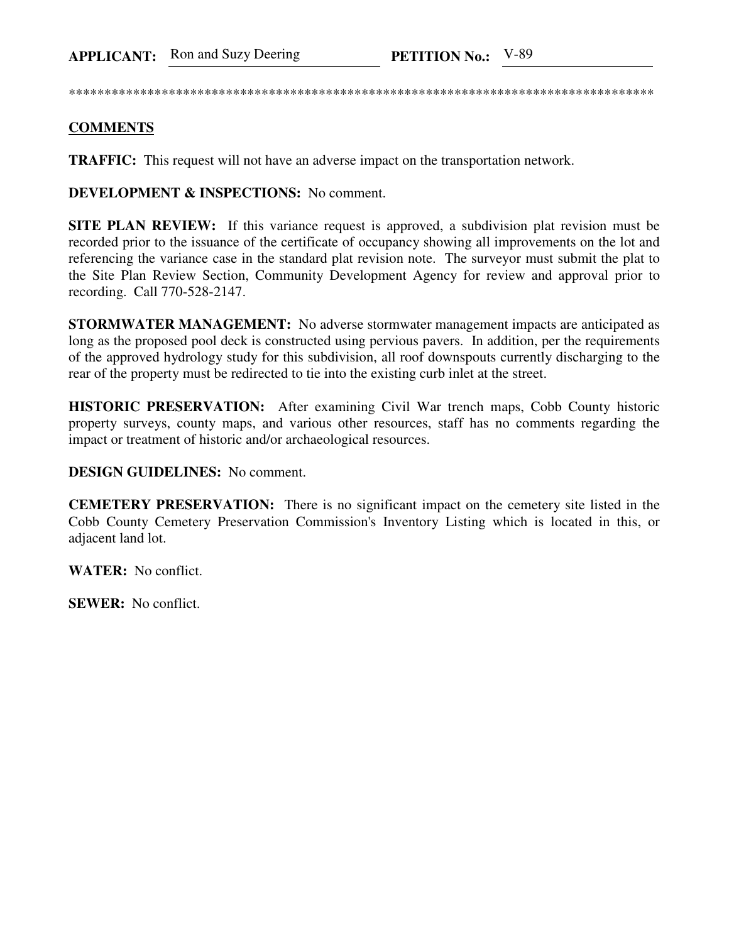\*\*\*\*\*\*\*\*\*\*\*\*\*\*\*\*\*\*\*\*\*\*\*\*\*\*\*\*\*\*\*\*\*\*\*\*\*\*\*\*\*\*\*\*\*\*\*\*\*\*\*\*\*\*\*\*\*\*\*\*\*\*\*\*\*\*\*\*\*\*\*\*\*\*\*\*\*\*\*\*\*\*

## **COMMENTS**

**TRAFFIC:** This request will not have an adverse impact on the transportation network.

**DEVELOPMENT & INSPECTIONS:** No comment.

**SITE PLAN REVIEW:** If this variance request is approved, a subdivision plat revision must be recorded prior to the issuance of the certificate of occupancy showing all improvements on the lot and referencing the variance case in the standard plat revision note. The surveyor must submit the plat to the Site Plan Review Section, Community Development Agency for review and approval prior to recording. Call 770-528-2147.

**STORMWATER MANAGEMENT:** No adverse stormwater management impacts are anticipated as long as the proposed pool deck is constructed using pervious pavers. In addition, per the requirements of the approved hydrology study for this subdivision, all roof downspouts currently discharging to the rear of the property must be redirected to tie into the existing curb inlet at the street.

**HISTORIC PRESERVATION:** After examining Civil War trench maps, Cobb County historic property surveys, county maps, and various other resources, staff has no comments regarding the impact or treatment of historic and/or archaeological resources.

## **DESIGN GUIDELINES:** No comment.

**CEMETERY PRESERVATION:** There is no significant impact on the cemetery site listed in the Cobb County Cemetery Preservation Commission's Inventory Listing which is located in this, or adjacent land lot.

**WATER:** No conflict.

**SEWER:** No conflict.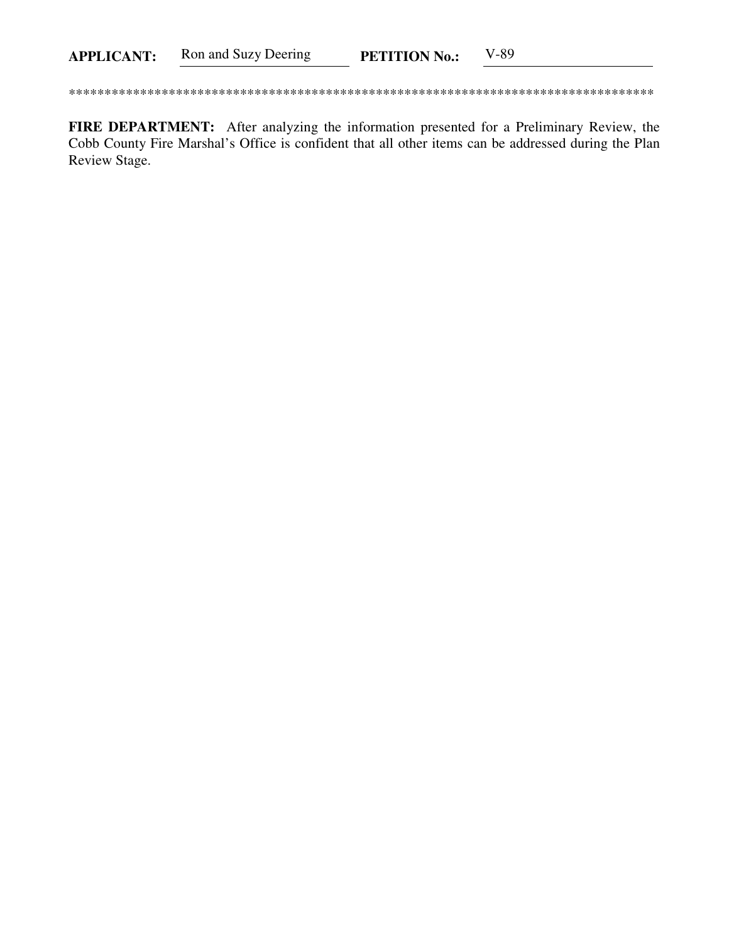FIRE DEPARTMENT: After analyzing the information presented for a Preliminary Review, the Cobb County Fire Marshal's Office is confident that all other items can be addressed during the Plan Review Stage.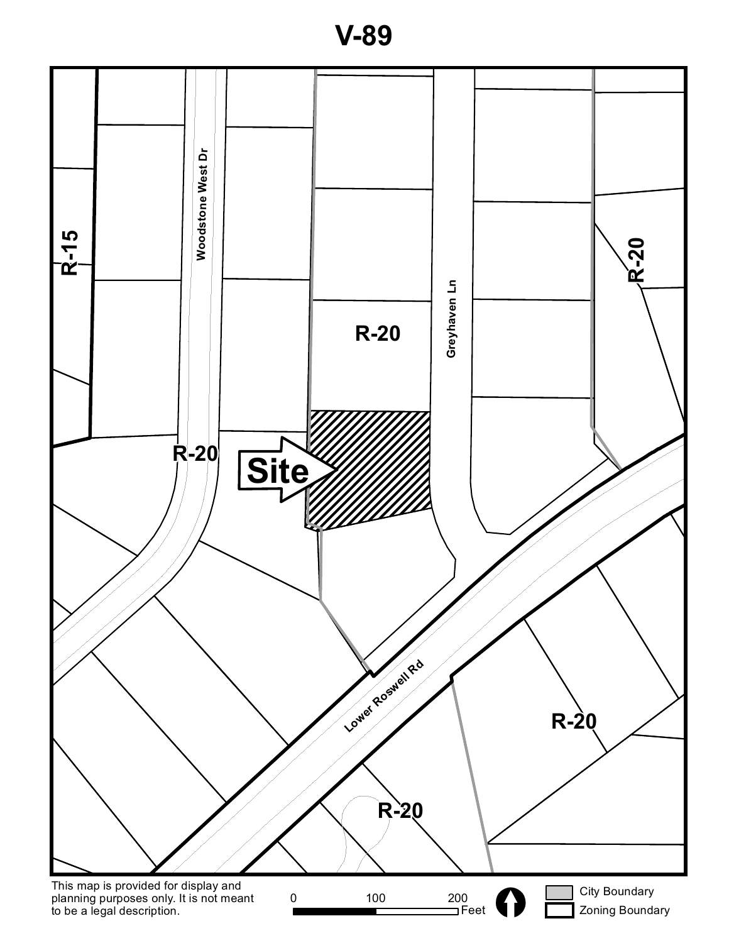

**V-89**